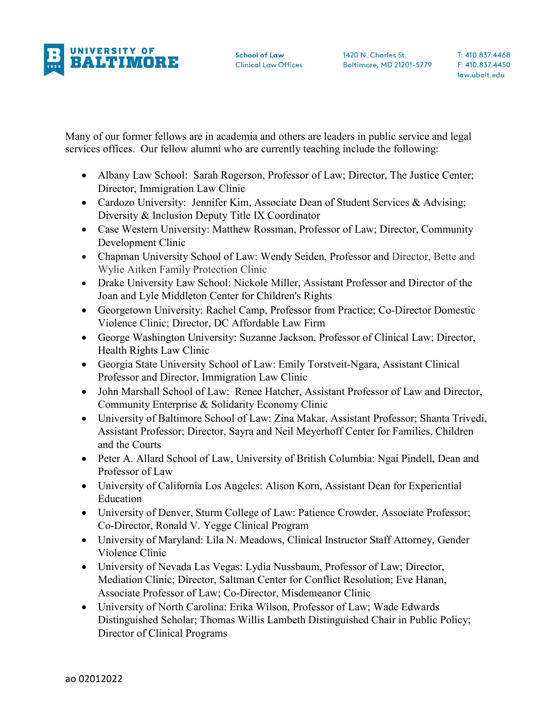

Many of our former fellows are in academia and others are leaders in public service and legal services offices. Our fellow alumni who are currently teaching include the following:

- Albany Law School: Sarah Rogerson, Professor of Law; Director, The Justice Center; Director, Immigration Law Clinic
- Cardozo University: Jennifer Kim, Associate Dean of Student Services & Advising; Diversity & Inclusion Deputy Title IX Coordinator
- Case Western University: Matthew Rossman, Professor of Law; Director, Community Development Clinic
- Chapman University School of Law: Wendy Seiden, Professor and Director, Bette and Wylie Aitken Family Protection Clinic
- Drake University Law School: Nickole Miller, Assistant Professor and Director of the Joan and Lyle Middleton Center for Children's Rights
- Georgetown University: Rachel Camp, Professor from Practice; Co-Director Domestic Violence Clinic; Director, DC Affordable Law Firm
- George Washington University: Suzanne Jackson, Professor of Clinical Law; Director, Health Rights Law Clinic
- Georgia State University School of Law: Emily Torstveit-Ngara, Assistant Clinical Professor and Director, Immigration Law Clinic
- John Marshall School of Law: Renee Hatcher, Assistant Professor of Law and Director, Community Enterprise & Solidarity Economy Clinic
- University of Baltimore School of Law: Zina Makar, Assistant Professor; Shanta Trivedi, Assistant Professor; Director, Sayra and Neil Meyerhoff Center for Families, Children and the Courts
- Peter A. Allard School of Law, University of British Columbia: Ngai Pindell, Dean and Professor of Law
- University of California Los Angeles: Alison Korn, Assistant Dean for Experiential Education
- University of Denver, Sturm College of Law: Patience Crowder, Associate Professor; Co-Director, Ronald V. Yegge Clinical Program
- University of Maryland: Lila N. Meadows, Clinical Instructor Staff Attorney, Gender Violence Clinic
- University of Nevada Las Vegas: Lydia Nussbaum, Professor of Law; Director, Mediation Clinic; Director, Saltman Center for Conflict Resolution; Eve Hanan, Associate Professor of Law; Co-Director, Misdemeanor Clinic
- University of North Carolina: Erika Wilson, Professor of Law; Wade Edwards Distinguished Scholar; Thomas Willis Lambeth Distinguished Chair in Public Policy; Director of Clinical Programs